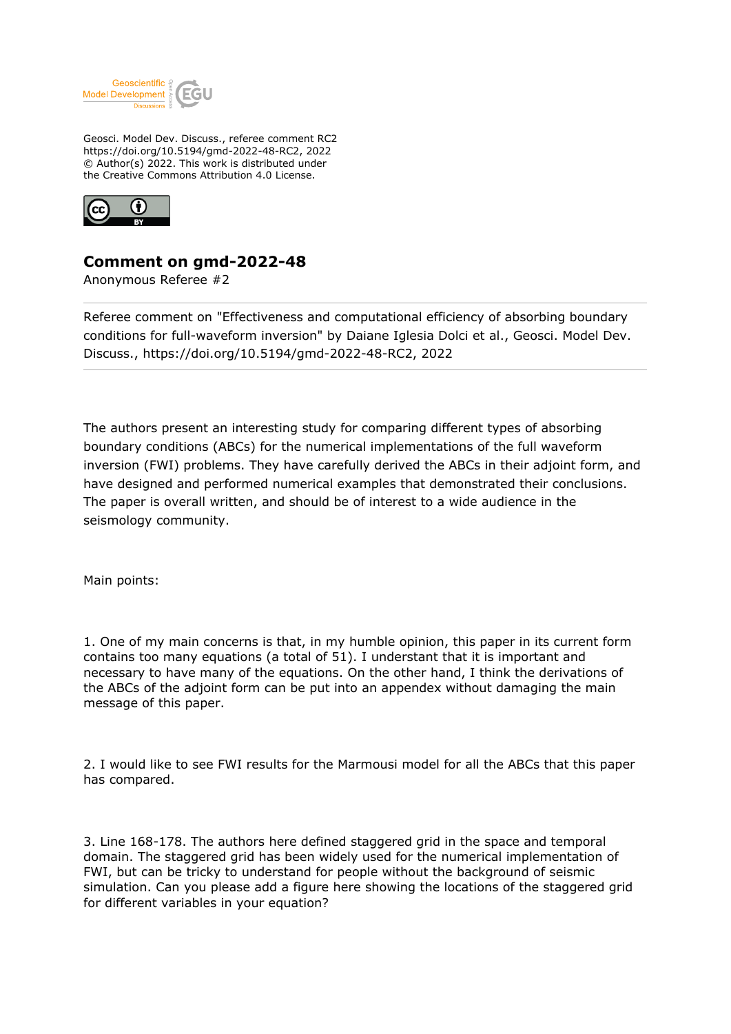

Geosci. Model Dev. Discuss., referee comment RC2 https://doi.org/10.5194/gmd-2022-48-RC2, 2022 © Author(s) 2022. This work is distributed under the Creative Commons Attribution 4.0 License.



## **Comment on gmd-2022-48**

Anonymous Referee #2

Referee comment on "Effectiveness and computational efficiency of absorbing boundary conditions for full-waveform inversion" by Daiane Iglesia Dolci et al., Geosci. Model Dev. Discuss., https://doi.org/10.5194/gmd-2022-48-RC2, 2022

The authors present an interesting study for comparing different types of absorbing boundary conditions (ABCs) for the numerical implementations of the full waveform inversion (FWI) problems. They have carefully derived the ABCs in their adjoint form, and have designed and performed numerical examples that demonstrated their conclusions. The paper is overall written, and should be of interest to a wide audience in the seismology community.

Main points:

1. One of my main concerns is that, in my humble opinion, this paper in its current form contains too many equations (a total of 51). I understant that it is important and necessary to have many of the equations. On the other hand, I think the derivations of the ABCs of the adjoint form can be put into an appendex without damaging the main message of this paper.

2. I would like to see FWI results for the Marmousi model for all the ABCs that this paper has compared.

3. Line 168-178. The authors here defined staggered grid in the space and temporal domain. The staggered grid has been widely used for the numerical implementation of FWI, but can be tricky to understand for people without the background of seismic simulation. Can you please add a figure here showing the locations of the staggered grid for different variables in your equation?